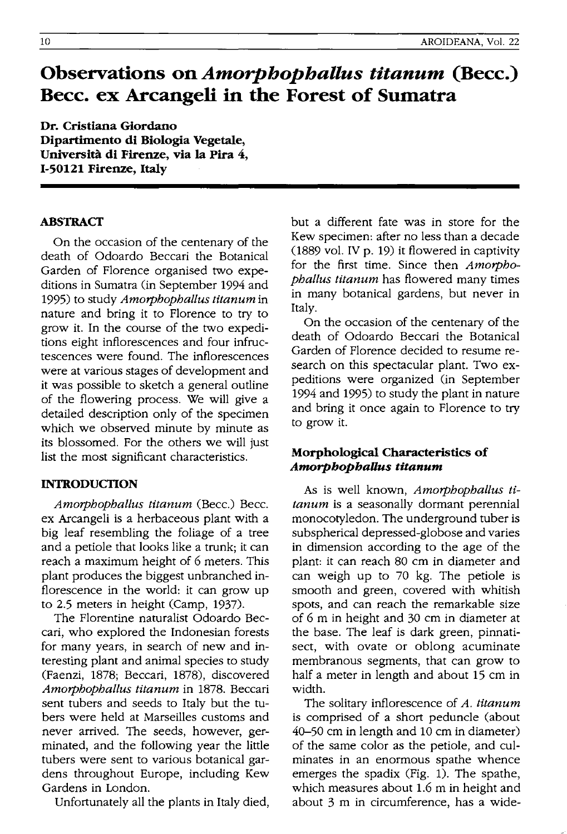# **Observations on** *Amorphophallus titanum* **(Becc.) Becc. ex Arcangeli in the Forest of Sumatra**

**Dr. Cristiana Giordano Dipartimento di Biologia Vegetale, Universita di Firenze, via la Pira** 4, **1-50121 Firenze, Italy** 

## **ABSTRACT**

On the occasion of the centenary of the death of Odoardo Beccari the Botanical Garden of Florence organised two expeditions in Sumatra (in September 1994 and 1995) to study *Amorphopballus titanum* in nature and bring it to Florence to try to grow it. In the course of the two expeditions eight inflorescences and four infructescences were found. The inflorescences were at various stages of development and it was possible to sketch a general outline of the flowering process. We will give a detailed description only of the specimen which we observed minute by minute as its blossomed. For the others we will just list the most significant characteristics.

#### **INTRODUCTION**

*Amorpbopballus titanum* (Becc.) Becc. ex Arcangeli is a herbaceous plant with a big leaf resembling the foliage of a tree and a petiole that looks like a trunk; it can reach a maximum height of 6 meters. This plant produces the biggest unbranched inflorescence in the world: it can grow up to 2.5 meters in height (Camp, 1937).

The Florentine naturalist Odoardo Beccari, who explored the Indonesian forests for many years, in search of new and interesting plant and animal species to study (Faenzi, 1878; Beccari, 1878), discovered *Amorpbopballus titanum* in 1878. Beccari sent tubers and seeds to Italy but the tubers were held at Marseilles customs and never arrived. The seeds, however, germinated, and the following year the little tubers were sent to various botanical gardens throughout Europe, including Kew Gardens in London.

Unfortunately all the plants in Italy died,

but a different fate was in store for the Kew specimen: after no less than a decade (1889 vol. IV p. 19) it flowered in captivity for the first time. Since then *Amorpbopballus titanum* has flowered many times in many botanical gardens, but never in Italy.

On the occasion of the centenary of the death of Odoardo Beccari the Botanical Garden of Florence decided to resume research on this spectacular plant. Two expeditions were organized (in September 1994 and 1995) to study the plant in nature and bring it once again to Florence to try to grow it.

# **Morphological Characteristics of**  *AmorpbopbaUus titanum*

As is well known, *Amorpbopballus titanum* is a seasonally dormant perennial monocotyledon. The underground tuber is subspherical depressed-globose and varies in dimension according to the age of the plant: it can reach 80 cm in diameter and can weigh up to 70 kg. The petiole is smooth and green, covered with whitish spots, and can reach the remarkable size of 6 m in height and 30 cm in diameter at the base. The leaf is dark green, pinnatisect, with ovate or oblong acuminate membranous segments, that can grow to half a meter in length and about 15 cm in width.

The solitary inflorescence of *A. titanum*  is comprised of a short peduncle (about 40-50 cm in length and 10 cm in diameter) of the same color as the petiole, and culminates in an enormous spathe whence emerges the spadix (Fig. 1). The spathe, which measures about 1.6 m in height and about 3 m in circumference, has a wide-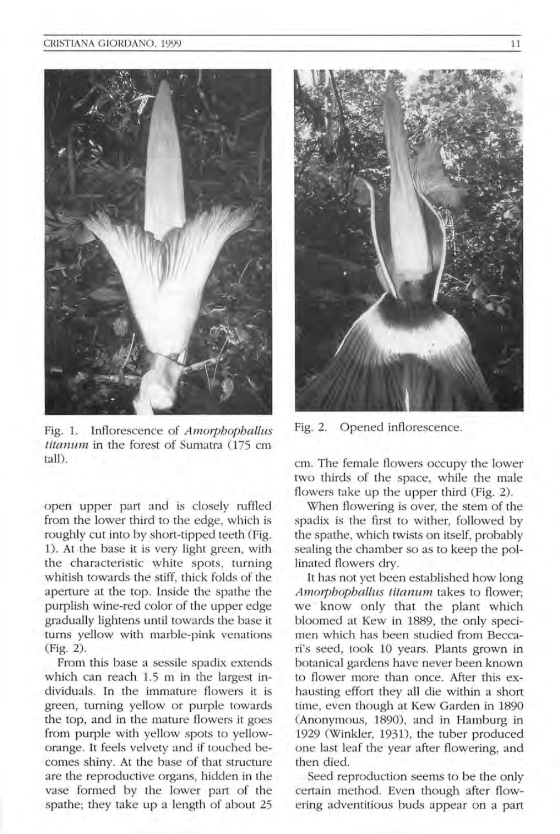#### CRISTIANA GIORDANO, 1999



Fig. 1. Inflorescence of *Amorphophallus titanum* in the forest of Sumatra (175 cm tall).

open upper part and is closely ruffled from the lower third to the edge, which is roughly cut into by short-tipped teeth (Fig. 1). At the base it is very light green, with the characteristic white spots, turning whitish towards the stiff, thick folds of the aperture at the top. Inside the spathe the purplish wine-red color of the upper edge gradually lightens until towards the base it turns yellow with marble-pink venations (Fig. 2).

From this base a sessile spadix extends which can reach 1.5 m in the largest individuals. In the immature flowers it is green, turning yellow or purple towards the top, and in the mature flowers it goes from purple with yellow spots to yelloworange. It feels velvety and if touched becomes shiny. At the base of that structure are the reproductive organs, hidden in the vase formed by the lower part of the spathe; they take up a length of about 25



Fig. 2. Opened inflorescence.

cm. The female flowers occupy the lower two thirds of the space, while the male flowers take up the upper third (Fig. 2).

When flowering is over, the stem of the spadix is the first to wither, followed by the spathe, which twists on itself, probably sealing the chamber so as to keep the pollinated flowers dry.

It has not yet been established how long *Amorphophallus titanum* takes to flower; we know only that the plant which bloomed at Kew in 1889, the only specimen which has been studied from Beccari's seed, took 10 years. Plants grown in botanical gardens have never been known to flower more than once. After this exhausting effort they all die within a short time, even though at Kew Garden in 1890 (Anonymous, 1890), and in Hamburg in 1929 (Winkler, 1931), the tuber produced one last leaf the year after flowering, and then died.

Seed reproduction seems to be the only certain method. Even though after flowering adventitious buds appear on a part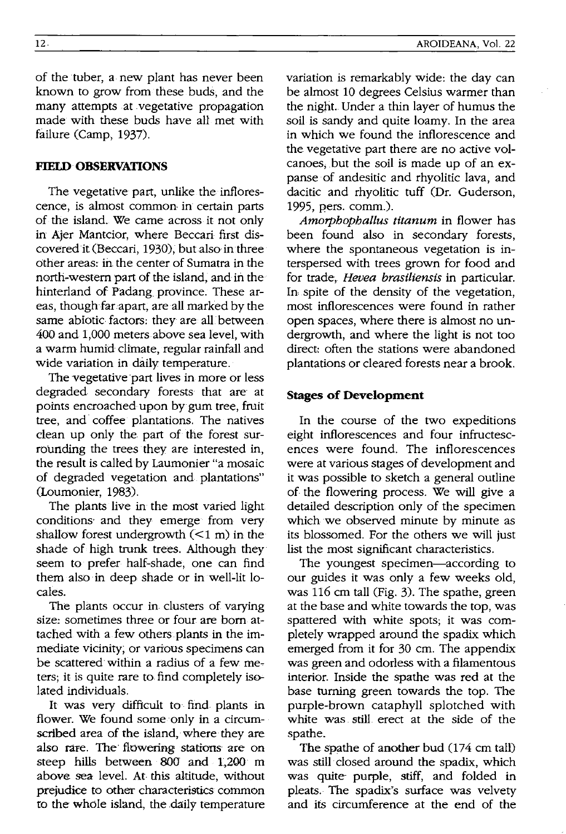of the tuber, a new plant has never been known to grow from these buds, and the many attempts at vegetative propagation made with these buds have all met with failure (Camp, 1937).

# **FIELD OBSERVATIONS**

The vegetative part, unlike the inflorescence, is almost common in certain parts of. the island. We came across it not only in Ajer Mantcior, where Beccari first discovered it (Beccari, 1930), but also in three other areas: in the center of Sumatra in the north~western part of the island, and in the hinterland of Padang province. These areas, though far apart, are all marked by the same abiotic factors: they are alL between 400 and 1,000 meters above sea level, with a warm humid climate, regular rainfall and wide variation in daily temperature.

The vegetative part lives in more or less degraded secondary forests that are at points encroached upon by gum tree, fruit tree, and· coffee plantations. The natives clean up only the part of the forest surrounding the trees they are interested in, the result is called by Laumonier "a mosaic of degraded vegetation and. plantations" (Loumonier, 1983).

The plants live in the most varied light conditions and they emerge· from very shallow forest undergrowth  $(< 1$  m) in the shade of high trunk trees. Although they seem to prefer half-shade, one can find them also in deep shade or in well-lit locales.

The plants occur in dusters of varying size: sometimes three or four are born attached with a few others plants in the immediate vicinity; or various specimens can be scattered within a radius of a few meters; it is quite rare to find completely isolated individuals.

It was very difficult to find plants in flower. We found some only in a circumscribed area of the island, where they are also rare. The flowering stations- are on steep hills between SOG and 1,200· m above sea level. At this altitude, without prejudice to other characteristics common to the whole island, the .daily temperature variation is remarkably wide: the day can be almost 10 degrees Celsius warmer than the night. Under a thin layer of humus the soil is sandy and quite loamy. **In** the area in which we found the inflorescence and the vegetative part there are no active volcanoes; but the soil is made up of an expanse of andesitic and rhyolitic lava, and dacitic and rhyolitic tuff (Dr. Guderson, 1995, pers. comm.).

*Amorphophallus titanum* in flower has been found also in secondary forests, where the spontaneous vegetation is interspersed with trees grown for food and for trade, *Hevea brasiliensis* in particular. In spite of the density of the vegetation, most inflorescences were found in rather open spaces, where there is almost no undergrowth, and where the light is not too direct: often the stations were abandoned plantations or cleared forests near a brook.

## **Stages of Development**

In the course of the two expeditions eight inflorescences and four infructescences were found. The inflorescences were at various stages of development and it was possible to sketch a general outline of the flowering process. We will give a detailed description only of the specimen which we observed minute by minute as its blossomed. For the others we will just list the most significant characteristics.

The youngest specimen—according to our guides it was only a few weeks old, was 116 cm tall (Fig. 3). The spathe, green at the base and white towards the top, was spattered with white spots; it was completely wrapped around the spadix which emerged from it for 30 cm. The appendix was green and odorless with a filamentous interior. Inside the spathe was red at the base turning green towards the top. The purple-brown cataphyll splotched with white was still. erect at the side of the spathe.

The spathe of another bud (174 em tall) was still· closed around the spadix, which was quite- purple, stiff, and folded in pleats. The spadix's surface was velvety and its circumference at the end of the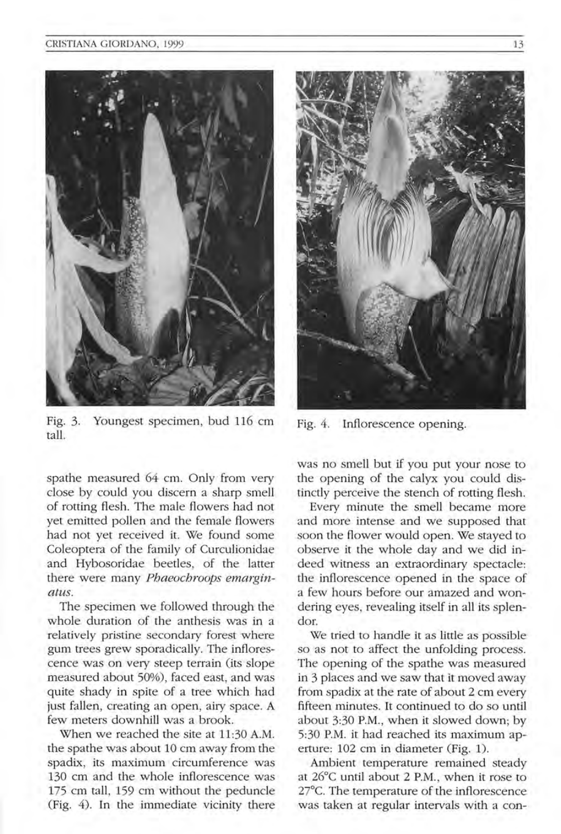#### CRISTIANA GIORDANO, 1999



Fig. 3. Youngest specimen, bud 116 cm tall.

spathe measured 64 cm. Only from very close by could you discern a sharp smell of rotting flesh. The male flowers had not yet emitted pollen and the female flowers had not yet received it. We found some Coleoptera of the family of Curculionidae and Hybosoridae beetles, of the latter there were many *Phaeochroops emarginatus.* 

The specimen we followed through the whole duration of the anthesis was in a relatively pristine secondary forest where gum trees grew sporadically. The inflorescence was on very steep terrain (its slope measured about 50%), faced east, and was quite shady in spite of a tree which had just fallen, creating an open, airy space. A few meters downhill was a brook.

When we reached the site at **11** :30 A.M. the spathe was about 10 cm away from the spadix, its maximum circumference was 130 cm and the whole inflorescence was 175 cm tall, 159 cm without the peduncle (Fig. 4). In the immediate vicinity there



Fig. 4. Inflorescence opening.

was no smell but if you put your nose to the opening of the calyx you could distinctly perceive the stench of rotting flesh.

Every minute the smell became more and more intense and we supposed that soon the flower would open. We stayed to observe it the whole day and we did indeed witness an extraordinary spectacle: the inflorescence opened in the space of a few hours before our amazed and wondering eyes, revealing itself in all its splendor.

We tried to handle it as little as possible so as not to affect the unfolding process. The opening of the spathe was measured in 3 places and we saw that it moved away from spadix at the rate of about 2 cm every fifteen minutes. It continued to do so until about 3:30 P.M., when it slowed down; by 5:30 P.M. it had reached its maximum aperture: 102 cm in diameter (Fig. 1).

Ambient temperature remained steady at 26°c until about 2 P.M. , when it rose to 27°C. The temperature of the inflorescence was taken at regular intervals with a con-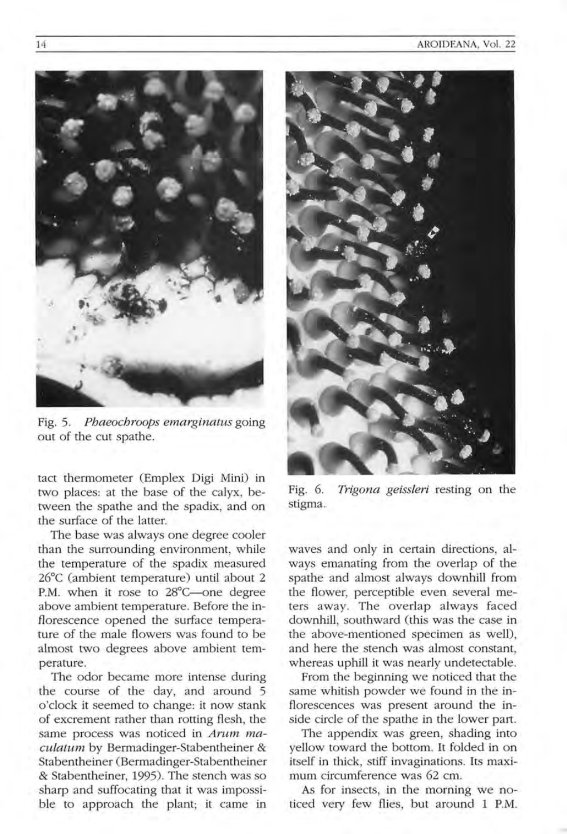

Fig. 5. *Phaeochroops emarginatus* going out of the cut spathe.

tact thermometer (Emplex Digi Mini) in two places: at the base of the calyx, between the spathe and the spadix, and on the surface of the latter.

The base was always one degree cooler than the surrounding environment, while the temperature of the spadix measured 26°c (ambient temperature) until about 2 P.M. when it rose to 28°C—one degree above ambient temperature. Before the inflorescence opened the surface temperature of the male flowers was found to be almost two degrees above ambient temperature.

The odor became more intense during the course of the day, and around 5 o'clock it seemed to change: it now stank of excrement rather than rotting flesh, the same process was noticed in *Arum maculatum* by Bermadinger-Stabentheiner & Stabentheiner (Bermadinger-Stabentheiner & Stabentheiner, 1995). The stench was so sharp and suffocating that it was impossible to approach the plant; it came in



Fig. 6. *Trigona geissleri* resting on the stigma.

waves and only in certain directions, always emanating from the overlap of the spathe and almost always downhill from the flower, perceptible even several meters away. The overlap always faced downhill, southward (this was the case in the above-mentioned specimen as well), and here the stench was almost constant, whereas uphill it was nearly undetectable.

From the beginning we noticed that the same whitish powder we found in the inflorescences was present around the inside circle of the spathe in the lower part.

The appendix was green, shading into yellow toward the bottom. It folded in on itself in thick, stiff invaginations. Its maximum circumference was 62 cm.

As for insects, in the morning we noticed very few flies, but around 1 P.M.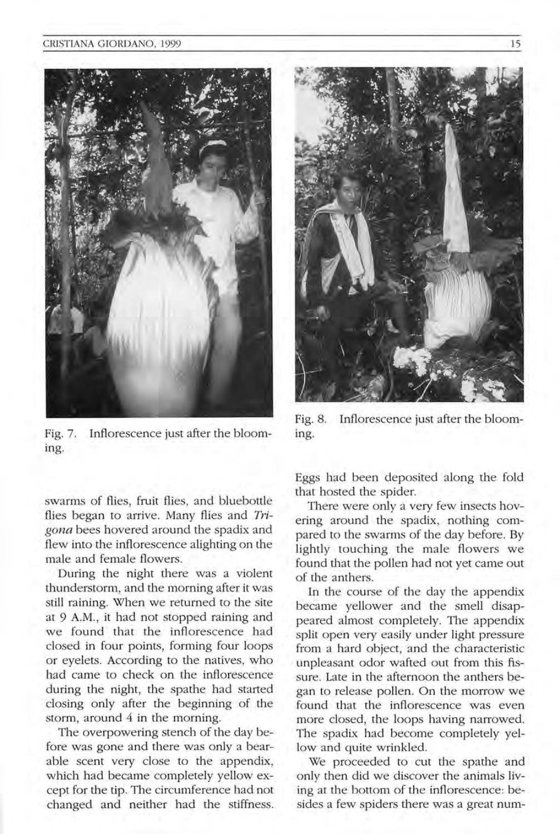#### cristiana Giordano, 1999 15



Fig. 7. Inflorescence just after the bloom- ing. ing.

swarms of flies, fruit flies, and bluebottle flies began to arrive. Many flies and *Trigona* bees hovered around the spadix and flew into the inflorescence alighting on the male and female flowers.

During the night there was a violent thunderstorm, and the morning after it was still raining. When we returned to the site at 9 A.M., it had not stopped raining and we found that the inflorescence had closed in four points, forming four loops or eyelets. According to the natives, who had came to check on the inflorescence during the night, the spathe had started closing only after the beginning of the storm, around 4 in the morning.

The overpowering stench of the day before was gone and there was only a bearable scent very close to the appendix, which had became completely yellow except for the tip. The circumference had not changed and neither had the stiffness.



Fig. 8. Inflorescence just after the bloom-

Eggs had been deposited along the fold that hosted the spider.

There were only a very few insects hovering around the spadix, nothing compared to the swarms of the day before. By lightly touching the male flowers we found that the pollen had not yet came out of the anthers.

**In** the course of the day the appendix became yellower and the smell disappeared almost completely. The appendix split open very easily under light pressure from a hard object, and the characteristic unpleasant odor wafted out from this fissure. Late in the afternoon the anthers began to release pollen. On the morrow we found that the inflorescence was even more closed, the loops having narrowed. The spadix had become completely yellow and quite wrinkled.

We proceeded to cut the spathe and only then did we discover the animals living at the bottom of the inflorescence: besides a few spiders there was a great num-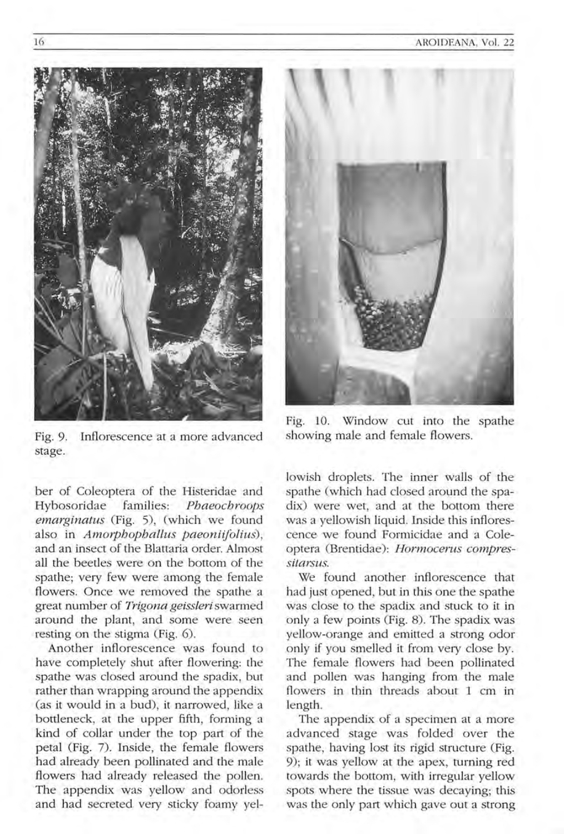

Fig. 9. Inflorescence at a more advanced stage.

ber of Coleoptera of the Histeridae and Hybosoridae families: *Phaeochroops emarginatus* (Fig. 5), (which we found also in *Amorphophallus paeoniifolius*), and an insect of the Blattaria order. Almost all the beetles were on the bottom of the spathe; very few were among the female flowers. Once we removed the spathe a great number of *Trigona geissleri* swarmed around the plant, and some were seen resting on the stigma (Fig. 6).

Another inflorescence was found to have completely shut after flowering: the spathe was closed around the spadix, but rather than wrapping around the appendix (as it would in a bud), it narrowed, like a bottleneck, at the upper fifth, forming a kind of collar under the top part of the petal (Fig. 7). Inside, the female flowers had already been pollinated and the male flowers had already released the pollen. The appendix was yellow and odorless and had secreted very sticky foamy yel-



Fig. 10. Window cut into the spathe showing male and female flowers.

lowish droplets. The inner walls of the spathe (which had closed around the spadix) were wet, and at the bottom there was a yellowish liquid. Inside this inflorescence we found Formicidae and a Coleoptera (Brentidae): *Hormocerus compressilarsus.* 

We found another inflorescence that had just opened, but in this one the spathe was close to the spadix and stuck to it in only a few points (Fig. 8). The spadix was yellow-orange and emitted a strong odor only if you smelled it from very close by. The female flowers had been pollinated and pollen was hanging from the male flowers in thin threads about 1 cm in length.

The appendix of a specimen at a more advanced stage was folded over the spathe, having lost its rigid structure (Fig. 9); it was yellow at the apex, turning red towards the bottom, with irregular yellow spots where the tissue was decaying; this was the only part which gave out a strong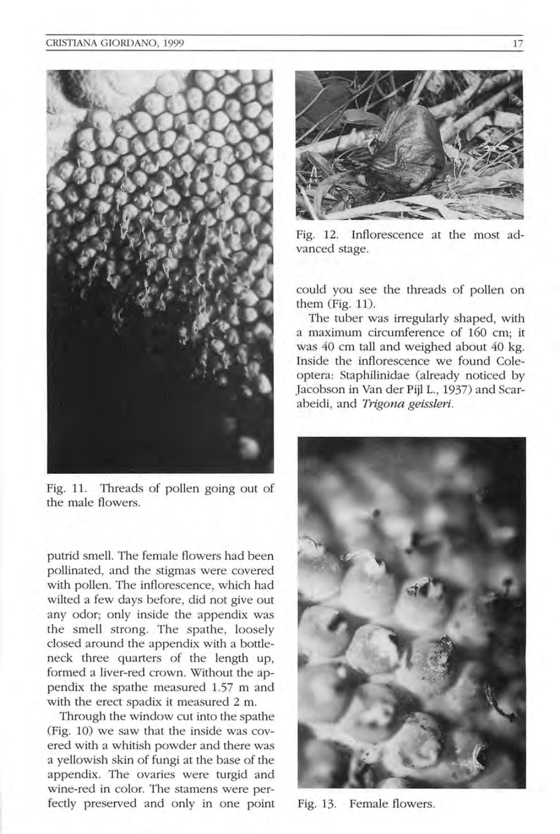#### CRISTIANA GIORDANO, 1999



Fig. 11. Threads of pollen going out of the male flowers.

putrid smell. The female flowers had been pollinated, and the stigmas were covered with pollen. The inflorescence, which had wilted a few days before, did not give out any odor; only inside the appendix was the smell strong. The spathe, loosely closed around the appendix with a bottleneck three quarters of the length up, formed a liver-red crown. Without the appendix the spathe measured 1.57 m and with the erect spadix it measured 2 m.

Through the window cut into the spathe (Fig. 10) we saw that the inside was covered with a whitish powder and there was a yellowish skin of fungi at the base of the appendix. The ovaries were turgid and wine-red in color. The stamens were perfectly preserved and only in one point



Fig. 12. Inflorescence at the most advanced stage.

could you see the threads of pollen on them (Fig. 11).

The tuber was irregularly shaped, with a maximum circumference of 160 cm; it was 40 cm tall and weighed about 40 kg. Inside the inflorescence we found Coleoptera: Staphilinidae (already noticed by Jacobson in Van der Pijl L., 1937) and Scarabeidi, and *Trigona geissleri.* 



Fig. 13. Female flowers.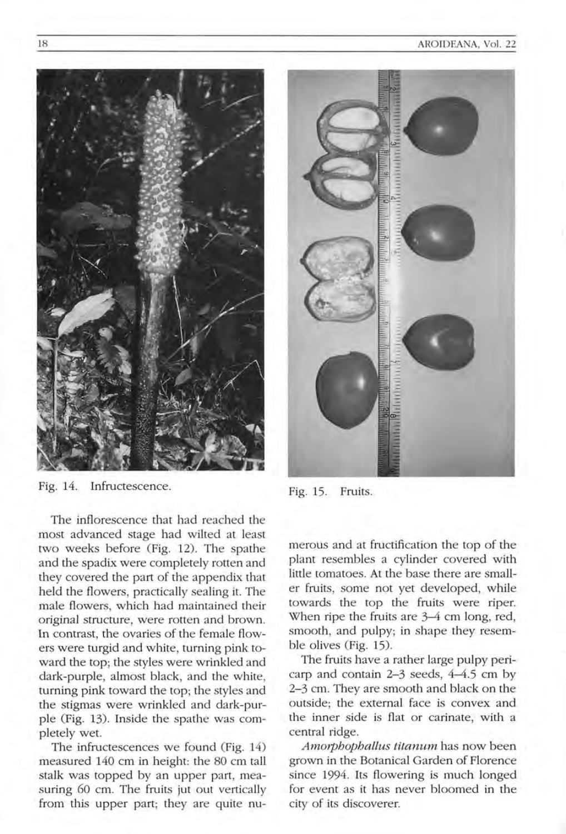Fig. 14. Infructescence.

The inflorescence that had reached the most advanced stage had wilted at least two weeks before (Fig. 12). The spathe and the spadix were completely rotten and they covered the part of the appendix that held the flowers, practically sealing it. The male flowers, which had maintained their original structure, were rotten and brown. In contrast, the ovaries of the female flowers were turgid and white, turning pink toward the top; the styles were wrinkled and dark-purple, almost black, and the white, turning pink toward the top; the styles and the stigmas were wrinkled and dark-purple (Fig. 13). Inside the spathe was completely wet.

The infructescences we found (Fig. 14) measured 140 cm in height: the 80 cm tall stalk was topped by an upper part, measuring 60 cm. The fruits jut out vertically from this upper part; they are quite nu-



Fig. 15. Fruits.

merous and at fructification the top of the plant resembles a cylinder covered with little tomatoes. At the base there are smaller fruits, some not yet developed, while towards the top the fruits were riper. When ripe the fruits are  $3-4$  cm long, red, smooth, and pulpy; in shape they resemble olives (Fig. 15).

The fruits have a rather large pulpy pericarp and contain 2-3 seeds, 4-4.5 cm by 2-3 cm. They are smooth and black on the outside; the external face is convex and the inner side is flat or carinate, with a central ridge.

*Amorphophallus titanum* has now been grown in the Botanical Garden of Florence since 1994. Its flowering is much longed for event as it has never bloomed in the city of its discoverer.